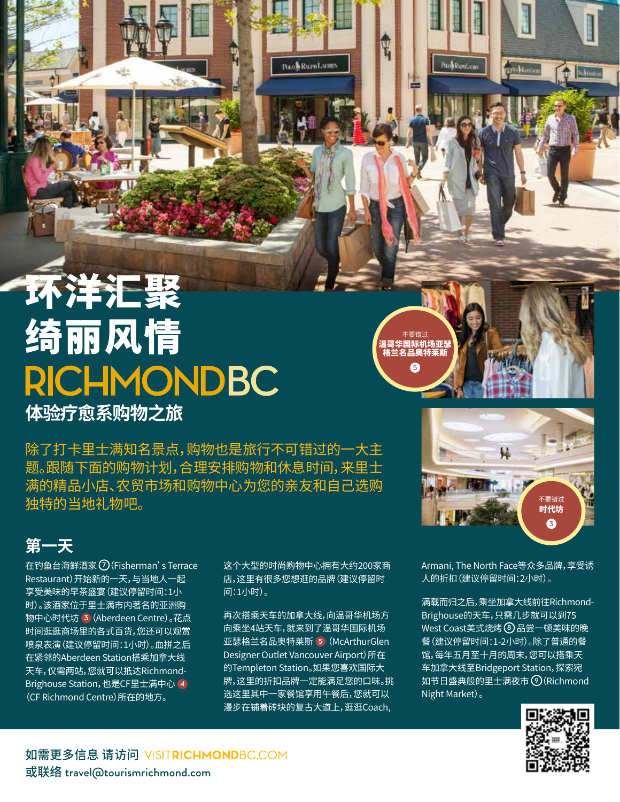## 环洋汇聚 绮丽风情 **RICHMONDBC 体验疗愈系购物之旅**

除了打卡里士满知名景点,购物也是旅行不可错过的一大主 题。跟随下面的购物计划,合理安排购物和休息时间,来里士 满的精品小店、农贸市场和购物中心为您的亲友和自己选购 独特的当地礼物吧。

## **第一天**

在钓鱼台海鲜酒家 **7**(Fisherman's Terrace Restaurant)开始新的一天,与当地人一起 享受美味的早茶盛宴(建议停留时间:1小 时)。该酒家位于里士满市内著名的亚洲购 物中心时代坊 **3**(Aberdeen Centre)。花点 时间逛逛商场里的各式百货,您还可以观赏 喷泉表演(建议停留时间:1小时)。血拼之后 在紧邻的Aberdeen Station搭乘加拿大线 天车,仅需两站,您就可以抵达Richmond-Brighouse Station,也是CF里士满中心 **4** (CF Richmond Centre)所在的地方。

这个大型的时尚购物中心拥有大约200家商 店,这里有很多您想逛的品牌(建议停留时 间:1小时)。

**Pack Rundam** 

再次搭乘天车的加拿大线,向温哥华机场方 向乘坐4站天车,就来到了温哥华国际机场 亚瑟格兰名品奥特莱斯 **5** (McArthurGlen Designer Outlet Vancouver Airport)所在 的Templeton Station。如果您喜欢国际大 牌,这里的折扣品牌一定能满足您的口味。挑 选这里其中一家餐馆享用午餐后,您就可以 漫步在铺着砖块的复古大道上,逛逛Coach,



不要错过 温哥华国际机场亚瑟 格兰名品奥特莱斯 **5**

**Bud Runtage** 

Armani, The North Face等众多品牌,享受诱 人的折扣(建议停留时间:2小时)。

满载而归之后,乘坐加拿大线前往Richmond-Brighouse的天车,只需几步就可以到75 West Coast美式烧烤 **8** 品尝一顿美味的晚 餐(建议停留时间:1-2小时)。除了普通的餐 馆,每年五月至十月的周末,您可以搭乘天 车加拿大线至Bridgeport Station,探索宛 如节日盛典般的里士满夜市 **9**(Richmond Night Market)。



如需更多信息 请访问 VISITRICHMONDBC.COM 或联络 travel@tourismrichmond.com